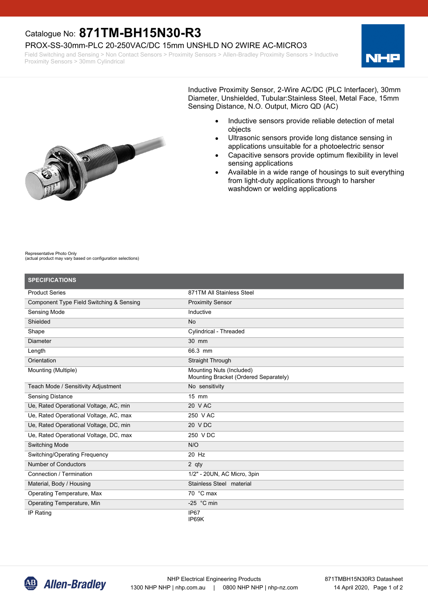## Catalogue No: **871TM-BH15N30-R3**

### PROX-SS-30mm-PLC 20-250VAC/DC 15mm UNSHLD NO 2WIRE AC-MICRO3

Field Switching and Sensing > Non Contact Sensors > Proximity Sensors > Allen-Bradley Proximity Sensors > Inductive Proximity Sensors > 30mm Cylindrical



Inductive Proximity Sensor, 2-Wire AC/DC (PLC Interfacer), 30mm Diameter, Unshielded, Tubular:Stainless Steel, Metal Face, 15mm Sensing Distance, N.O. Output, Micro QD (AC)

- Inductive sensors provide reliable detection of metal objects
- Ultrasonic sensors provide long distance sensing in applications unsuitable for a photoelectric sensor
- Capacitive sensors provide optimum flexibility in level sensing applications
- Available in a wide range of housings to suit everything from light-duty applications through to harsher washdown or welding applications

#### Representative Photo Only (actual product may vary based on configuration selections)

| <b>SPECIFICATIONS</b>                    |                                                                   |
|------------------------------------------|-------------------------------------------------------------------|
| <b>Product Series</b>                    | 871TM All Stainless Steel                                         |
| Component Type Field Switching & Sensing | <b>Proximity Sensor</b>                                           |
| Sensing Mode                             | Inductive                                                         |
| Shielded                                 | <b>No</b>                                                         |
| Shape                                    | Cylindrical - Threaded                                            |
| Diameter                                 | 30 mm                                                             |
| Length                                   | 66.3 mm                                                           |
| Orientation                              | Straight Through                                                  |
| Mounting (Multiple)                      | Mounting Nuts (Included)<br>Mounting Bracket (Ordered Separately) |
| Teach Mode / Sensitivity Adjustment      | No sensitivity                                                    |
| <b>Sensing Distance</b>                  | $15$ mm                                                           |
| Ue, Rated Operational Voltage, AC, min   | 20 V AC                                                           |
| Ue, Rated Operational Voltage, AC, max   | 250 V AC                                                          |
| Ue, Rated Operational Voltage, DC, min   | 20 V DC                                                           |
| Ue, Rated Operational Voltage, DC, max   | 250 V DC                                                          |
| Switching Mode                           | N/O                                                               |
| Switching/Operating Frequency            | 20 Hz                                                             |
| Number of Conductors                     | 2 qty                                                             |
| Connection / Termination                 | 1/2" - 20UN, AC Micro, 3pin                                       |
| Material, Body / Housing                 | Stainless Steel material                                          |
| Operating Temperature, Max               | 70 °C max                                                         |
| Operating Temperature, Min               | -25 $\degree$ C min                                               |
| IP Rating                                | IP67<br>IP69K                                                     |